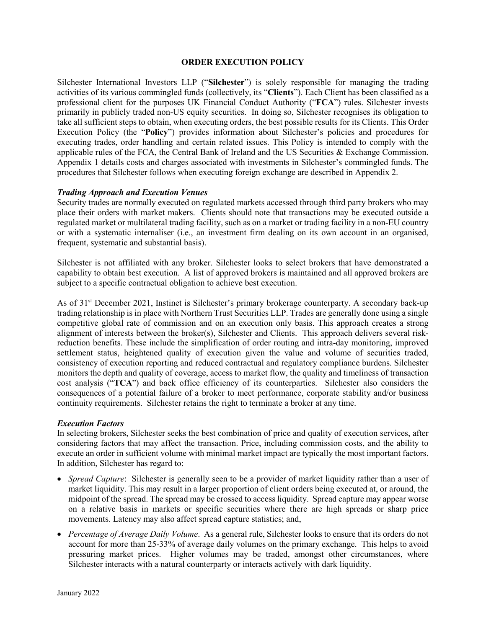#### **ORDER EXECUTION POLICY**

Silchester International Investors LLP ("**Silchester**") is solely responsible for managing the trading activities of its various commingled funds (collectively, its "**Clients**"). Each Client has been classified as a professional client for the purposes UK Financial Conduct Authority ("**FCA**") rules. Silchester invests primarily in publicly traded non-US equity securities. In doing so, Silchester recognises its obligation to take all sufficient steps to obtain, when executing orders, the best possible results for its Clients. This Order Execution Policy (the "**Policy**") provides information about Silchester's policies and procedures for executing trades, order handling and certain related issues. This Policy is intended to comply with the applicable rules of the FCA, the Central Bank of Ireland and the US Securities & Exchange Commission. Appendix 1 details costs and charges associated with investments in Silchester's commingled funds. The procedures that Silchester follows when executing foreign exchange are described in Appendix 2.

#### *Trading Approach and Execution Venues*

Security trades are normally executed on regulated markets accessed through third party brokers who may place their orders with market makers. Clients should note that transactions may be executed outside a regulated market or multilateral trading facility, such as on a market or trading facility in a non-EU country or with a systematic internaliser (i.e., an investment firm dealing on its own account in an organised, frequent, systematic and substantial basis).

Silchester is not affiliated with any broker. Silchester looks to select brokers that have demonstrated a capability to obtain best execution. A list of approved brokers is maintained and all approved brokers are subject to a specific contractual obligation to achieve best execution.

As of 31st December 2021, Instinet is Silchester's primary brokerage counterparty. A secondary back-up trading relationship is in place with Northern Trust Securities LLP. Trades are generally done using a single competitive global rate of commission and on an execution only basis. This approach creates a strong alignment of interests between the broker(s), Silchester and Clients. This approach delivers several riskreduction benefits. These include the simplification of order routing and intra-day monitoring, improved settlement status, heightened quality of execution given the value and volume of securities traded, consistency of execution reporting and reduced contractual and regulatory compliance burdens. Silchester monitors the depth and quality of coverage, access to market flow, the quality and timeliness of transaction cost analysis ("**TCA**") and back office efficiency of its counterparties. Silchester also considers the consequences of a potential failure of a broker to meet performance, corporate stability and/or business continuity requirements. Silchester retains the right to terminate a broker at any time.

#### *Execution Factors*

In selecting brokers, Silchester seeks the best combination of price and quality of execution services, after considering factors that may affect the transaction. Price, including commission costs, and the ability to execute an order in sufficient volume with minimal market impact are typically the most important factors. In addition, Silchester has regard to:

- *Spread Capture*: Silchester is generally seen to be a provider of market liquidity rather than a user of market liquidity. This may result in a larger proportion of client orders being executed at, or around, the midpoint of the spread. The spread may be crossed to access liquidity. Spread capture may appear worse on a relative basis in markets or specific securities where there are high spreads or sharp price movements. Latency may also affect spread capture statistics; and,
- *Percentage of Average Daily Volume*. As a general rule, Silchester looks to ensure that its orders do not account for more than 25-33% of average daily volumes on the primary exchange. This helps to avoid pressuring market prices. Higher volumes may be traded, amongst other circumstances, where Silchester interacts with a natural counterparty or interacts actively with dark liquidity.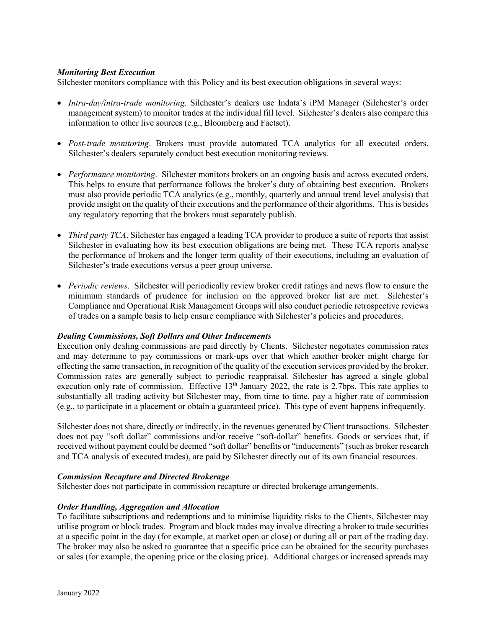# *Monitoring Best Execution*

Silchester monitors compliance with this Policy and its best execution obligations in several ways:

- *Intra-day/intra-trade monitoring*. Silchester's dealers use Indata's iPM Manager (Silchester's order management system) to monitor trades at the individual fill level. Silchester's dealers also compare this information to other live sources (e.g., Bloomberg and Factset).
- *Post-trade monitoring*. Brokers must provide automated TCA analytics for all executed orders. Silchester's dealers separately conduct best execution monitoring reviews.
- *Performance monitoring*. Silchester monitors brokers on an ongoing basis and across executed orders. This helps to ensure that performance follows the broker's duty of obtaining best execution. Brokers must also provide periodic TCA analytics (e.g., monthly, quarterly and annual trend level analysis) that provide insight on the quality of their executions and the performance of their algorithms. This is besides any regulatory reporting that the brokers must separately publish.
- *Third party TCA*. Silchester has engaged a leading TCA provider to produce a suite of reports that assist Silchester in evaluating how its best execution obligations are being met. These TCA reports analyse the performance of brokers and the longer term quality of their executions, including an evaluation of Silchester's trade executions versus a peer group universe.
- *Periodic reviews*. Silchester will periodically review broker credit ratings and news flow to ensure the minimum standards of prudence for inclusion on the approved broker list are met. Silchester's Compliance and Operational Risk Management Groups will also conduct periodic retrospective reviews of trades on a sample basis to help ensure compliance with Silchester's policies and procedures.

# *Dealing Commissions, Soft Dollars and Other Inducements*

Execution only dealing commissions are paid directly by Clients. Silchester negotiates commission rates and may determine to pay commissions or mark-ups over that which another broker might charge for effecting the same transaction, in recognition of the quality of the execution services provided by the broker. Commission rates are generally subject to periodic reappraisal. Silchester has agreed a single global execution only rate of commission. Effective 13<sup>th</sup> January 2022, the rate is 2.7bps. This rate applies to substantially all trading activity but Silchester may, from time to time, pay a higher rate of commission (e.g., to participate in a placement or obtain a guaranteed price). This type of event happens infrequently.

Silchester does not share, directly or indirectly, in the revenues generated by Client transactions. Silchester does not pay "soft dollar" commissions and/or receive "soft-dollar" benefits. Goods or services that, if received without payment could be deemed "soft dollar" benefits or "inducements" (such as broker research and TCA analysis of executed trades), are paid by Silchester directly out of its own financial resources.

#### *Commission Recapture and Directed Brokerage*

Silchester does not participate in commission recapture or directed brokerage arrangements.

#### *Order Handling, Aggregation and Allocation*

To facilitate subscriptions and redemptions and to minimise liquidity risks to the Clients, Silchester may utilise program or block trades. Program and block trades may involve directing a broker to trade securities at a specific point in the day (for example, at market open or close) or during all or part of the trading day. The broker may also be asked to guarantee that a specific price can be obtained for the security purchases or sales (for example, the opening price or the closing price). Additional charges or increased spreads may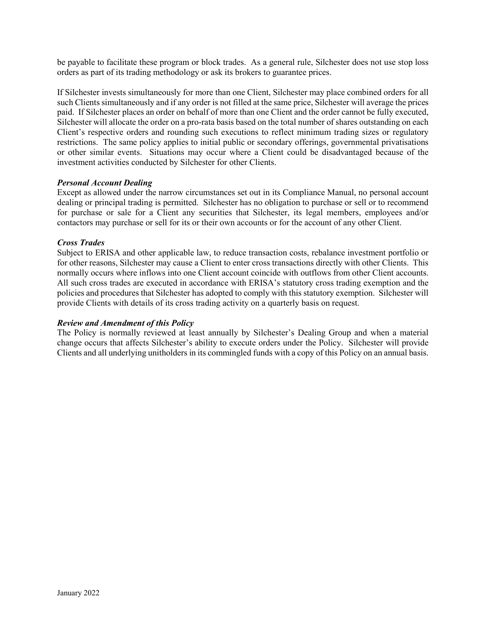be payable to facilitate these program or block trades. As a general rule, Silchester does not use stop loss orders as part of its trading methodology or ask its brokers to guarantee prices.

If Silchester invests simultaneously for more than one Client, Silchester may place combined orders for all such Clients simultaneously and if any order is not filled at the same price, Silchester will average the prices paid. If Silchester places an order on behalf of more than one Client and the order cannot be fully executed, Silchester will allocate the order on a pro-rata basis based on the total number of shares outstanding on each Client's respective orders and rounding such executions to reflect minimum trading sizes or regulatory restrictions. The same policy applies to initial public or secondary offerings, governmental privatisations or other similar events. Situations may occur where a Client could be disadvantaged because of the investment activities conducted by Silchester for other Clients.

# *Personal Account Dealing*

Except as allowed under the narrow circumstances set out in its Compliance Manual, no personal account dealing or principal trading is permitted. Silchester has no obligation to purchase or sell or to recommend for purchase or sale for a Client any securities that Silchester, its legal members, employees and/or contactors may purchase or sell for its or their own accounts or for the account of any other Client.

# *Cross Trades*

Subject to ERISA and other applicable law, to reduce transaction costs, rebalance investment portfolio or for other reasons, Silchester may cause a Client to enter cross transactions directly with other Clients. This normally occurs where inflows into one Client account coincide with outflows from other Client accounts. All such cross trades are executed in accordance with ERISA's statutory cross trading exemption and the policies and procedures that Silchester has adopted to comply with this statutory exemption. Silchester will provide Clients with details of its cross trading activity on a quarterly basis on request.

# *Review and Amendment of this Policy*

The Policy is normally reviewed at least annually by Silchester's Dealing Group and when a material change occurs that affects Silchester's ability to execute orders under the Policy. Silchester will provide Clients and all underlying unitholders in its commingled funds with a copy of this Policy on an annual basis.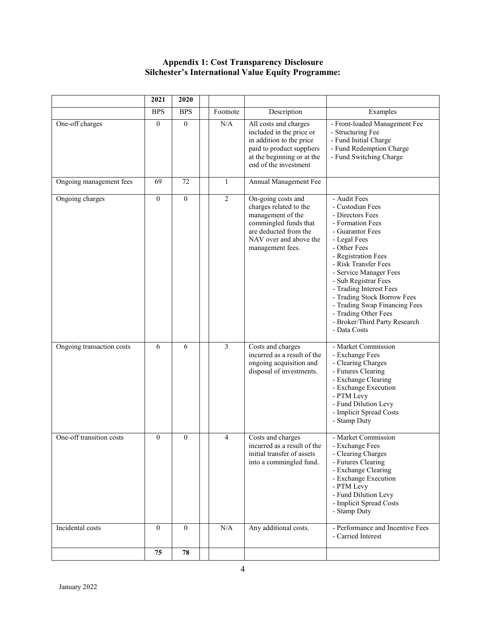# **Appendix 1: Cost Transparency Disclosure Silchester's International Value Equity Programme:**

|                           | 2021             | 2020             |                |                                                                                                                                                                   |                                                                                                                                                                                                                                                                                                                                                                                                   |
|---------------------------|------------------|------------------|----------------|-------------------------------------------------------------------------------------------------------------------------------------------------------------------|---------------------------------------------------------------------------------------------------------------------------------------------------------------------------------------------------------------------------------------------------------------------------------------------------------------------------------------------------------------------------------------------------|
|                           | <b>BPS</b>       | <b>BPS</b>       | Footnote       | Description                                                                                                                                                       | Examples                                                                                                                                                                                                                                                                                                                                                                                          |
| One-off charges           | $\boldsymbol{0}$ | $\mathbf{0}$     | N/A            | All costs and charges<br>included in the price or<br>in addition to the price<br>paid to product suppliers<br>at the beginning or at the<br>end of the investment | - Front-loaded Management Fee<br>- Structuring Fee<br>- Fund Initial Charge<br>- Fund Redemption Charge<br>- Fund Switching Charge                                                                                                                                                                                                                                                                |
| Ongoing management fees   | 69               | 72               | $\mathbf{1}$   | Annual Management Fee                                                                                                                                             |                                                                                                                                                                                                                                                                                                                                                                                                   |
| Ongoing charges           | $\mathbf{0}$     | $\boldsymbol{0}$ | $\overline{2}$ | On-going costs and<br>charges related to the<br>management of the<br>commingled funds that<br>are deducted from the<br>NAV over and above the<br>management fees. | - Audit Fees<br>- Custodian Fees<br>- Directors Fees<br>- Formation Fees<br>- Guarantor Fees<br>- Legal Fees<br>- Other Fees<br>- Registration Fees<br>- Risk Transfer Fees<br>- Service Manager Fees<br>- Sub Registrar Fees<br>- Trading Interest Fees<br>- Trading Stock Borrow Fees<br>- Trading Swap Financing Fees<br>- Trading Other Fees<br>- Broker/Third Party Research<br>- Data Costs |
| Ongoing transaction costs | 6                | 6                | $\overline{3}$ | Costs and charges<br>incurred as a result of the<br>ongoing acquisition and<br>disposal of investments.                                                           | - Market Commission<br>- Exchange Fees<br>- Clearing Charges<br>- Futures Clearing<br>- Exchange Clearing<br>- Exchange Execution<br>- PTM Levy<br>- Fund Dilution Levy<br>- Implicit Spread Costs<br>- Stamp Duty                                                                                                                                                                                |
| One-off transition costs  | $\mathbf{0}$     | $\mathbf{0}$     | 4              | Costs and charges<br>incurred as a result of the<br>initial transfer of assets<br>into a commingled fund.                                                         | - Market Commission<br>- Exchange Fees<br>- Clearing Charges<br>- Futures Clearing<br>- Exchange Clearing<br>- Exchange Execution<br>- PTM Levy<br>- Fund Dilution Levy<br>- Implicit Spread Costs<br>- Stamp Duty                                                                                                                                                                                |
| Incidental costs          | $\boldsymbol{0}$ | $\overline{0}$   | N/A            | Any additional costs.                                                                                                                                             | - Performance and Incentive Fees<br>- Carried Interest                                                                                                                                                                                                                                                                                                                                            |
|                           | 75               | 78               |                |                                                                                                                                                                   |                                                                                                                                                                                                                                                                                                                                                                                                   |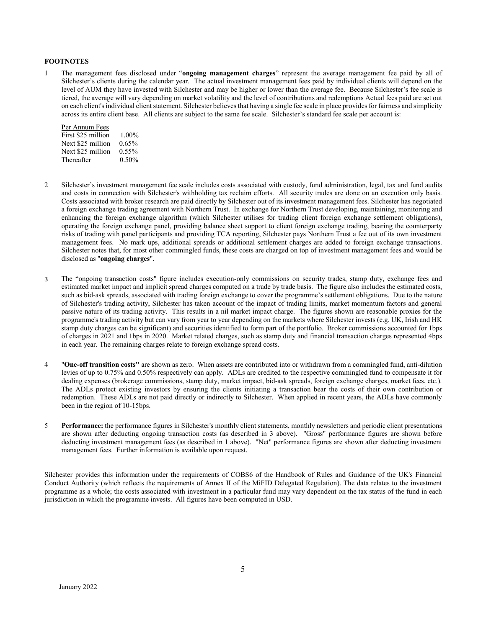#### **FOOTNOTES**

1 The management fees disclosed under "**ongoing management charges**" represent the average management fee paid by all of Silchester's clients during the calendar year. The actual investment management fees paid by individual clients will depend on the level of AUM they have invested with Silchester and may be higher or lower than the average fee. Because Silchester's fee scale is tiered, the average will vary depending on market volatility and the level of contributions and redemptions Actual fees paid are set out on each client's individual client statement. Silchester believes that having a single fee scale in place provides for fairness and simplicity across its entire client base. All clients are subject to the same fee scale. Silchester's standard fee scale per account is:

| Per Annum Fees     |          |
|--------------------|----------|
| First \$25 million | $1.00\%$ |
| Next \$25 million  | $0.65\%$ |
| Next \$25 million  | $0.55\%$ |
| Thereafter         | 0.50%    |

- 2 Silchester's investment management fee scale includes costs associated with custody, fund administration, legal, tax and fund audits and costs in connection with Silchester's withholding tax reclaim efforts. All security trades are done on an execution only basis. Costs associated with broker research are paid directly by Silchester out of its investment management fees. Silchester has negotiated a foreign exchange trading agreement with Northern Trust. In exchange for Northern Trust developing, maintaining, monitoring and enhancing the foreign exchange algorithm (which Silchester utilises for trading client foreign exchange settlement obligations), operating the foreign exchange panel, providing balance sheet support to client foreign exchange trading, bearing the counterparty risks of trading with panel participants and providing TCA reporting, Silchester pays Northern Trust a fee out of its own investment management fees. No mark ups, additional spreads or additional settlement charges are added to foreign exchange transactions. Silchester notes that, for most other commingled funds, these costs are charged on top of investment management fees and would be disclosed as "**ongoing charges**".
- 3 The "ongoing transaction costs" figure includes execution-only commissions on security trades, stamp duty, exchange fees and estimated market impact and implicit spread charges computed on a trade by trade basis. The figure also includes the estimated costs, such as bid-ask spreads, associated with trading foreign exchange to cover the programme's settlement obligations. Due to the nature of Silchester's trading activity, Silchester has taken account of the impact of trading limits, market momentum factors and general passive nature of its trading activity. This results in a nil market impact charge. The figures shown are reasonable proxies for the programme's trading activity but can vary from year to year depending on the markets where Silchester invests (e.g. UK, Irish and HK stamp duty charges can be significant) and securities identified to form part of the portfolio. Broker commissions accounted for 1bps of charges in 2021 and 1bps in 2020. Market related charges, such as stamp duty and financial transaction charges represented 4bps in each year. The remaining charges relate to foreign exchange spread costs.
- 4 "**One-off transition costs"** are shown as zero. When assets are contributed into or withdrawn from a commingled fund, anti-dilution levies of up to 0.75% and 0.50% respectively can apply. ADLs are credited to the respective commingled fund to compensate it for dealing expenses (brokerage commissions, stamp duty, market impact, bid-ask spreads, foreign exchange charges, market fees, etc.). The ADLs protect existing investors by ensuring the clients initiating a transaction bear the costs of their own contribution or redemption. These ADLs are not paid directly or indirectly to Silchester. When applied in recent years, the ADLs have commonly been in the region of 10-15bps.
- 5 **Performance:** the performance figures in Silchester's monthly client statements, monthly newsletters and periodic client presentations are shown after deducting ongoing transaction costs (as described in 3 above). "Gross" performance figures are shown before deducting investment management fees (as described in 1 above). "Net" performance figures are shown after deducting investment management fees. Further information is available upon request.

Silchester provides this information under the requirements of COBS6 of the Handbook of Rules and Guidance of the UK's Financial Conduct Authority (which reflects the requirements of Annex II of the MiFID Delegated Regulation). The data relates to the investment programme as a whole; the costs associated with investment in a particular fund may vary dependent on the tax status of the fund in each jurisdiction in which the programme invests. All figures have been computed in USD.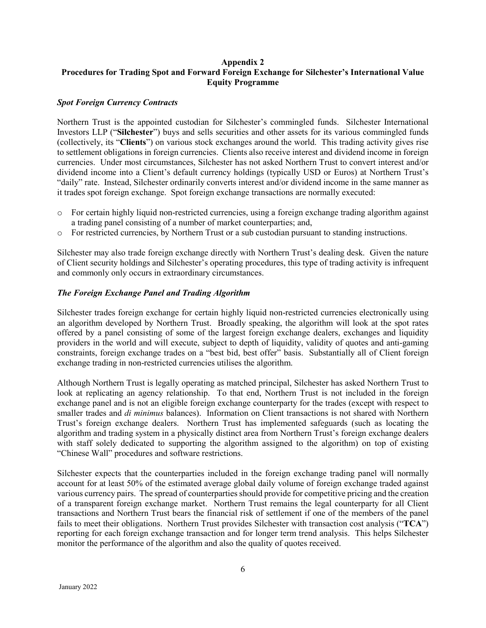# **Appendix 2 Procedures for Trading Spot and Forward Foreign Exchange for Silchester's International Value Equity Programme**

# *Spot Foreign Currency Contracts*

Northern Trust is the appointed custodian for Silchester's commingled funds. Silchester International Investors LLP ("**Silchester**") buys and sells securities and other assets for its various commingled funds (collectively, its "**Clients**") on various stock exchanges around the world. This trading activity gives rise to settlement obligations in foreign currencies. Clients also receive interest and dividend income in foreign currencies. Under most circumstances, Silchester has not asked Northern Trust to convert interest and/or dividend income into a Client's default currency holdings (typically USD or Euros) at Northern Trust's "daily" rate. Instead, Silchester ordinarily converts interest and/or dividend income in the same manner as it trades spot foreign exchange. Spot foreign exchange transactions are normally executed:

- o For certain highly liquid non-restricted currencies, using a foreign exchange trading algorithm against a trading panel consisting of a number of market counterparties; and,
- o For restricted currencies, by Northern Trust or a sub custodian pursuant to standing instructions.

Silchester may also trade foreign exchange directly with Northern Trust's dealing desk. Given the nature of Client security holdings and Silchester's operating procedures, this type of trading activity is infrequent and commonly only occurs in extraordinary circumstances.

#### *The Foreign Exchange Panel and Trading Algorithm*

Silchester trades foreign exchange for certain highly liquid non-restricted currencies electronically using an algorithm developed by Northern Trust. Broadly speaking, the algorithm will look at the spot rates offered by a panel consisting of some of the largest foreign exchange dealers, exchanges and liquidity providers in the world and will execute, subject to depth of liquidity, validity of quotes and anti-gaming constraints, foreign exchange trades on a "best bid, best offer" basis. Substantially all of Client foreign exchange trading in non-restricted currencies utilises the algorithm.

Although Northern Trust is legally operating as matched principal, Silchester has asked Northern Trust to look at replicating an agency relationship. To that end, Northern Trust is not included in the foreign exchange panel and is not an eligible foreign exchange counterparty for the trades (except with respect to smaller trades and *di minimus* balances). Information on Client transactions is not shared with Northern Trust's foreign exchange dealers. Northern Trust has implemented safeguards (such as locating the algorithm and trading system in a physically distinct area from Northern Trust's foreign exchange dealers with staff solely dedicated to supporting the algorithm assigned to the algorithm) on top of existing "Chinese Wall" procedures and software restrictions.

Silchester expects that the counterparties included in the foreign exchange trading panel will normally account for at least 50% of the estimated average global daily volume of foreign exchange traded against various currency pairs. The spread of counterparties should provide for competitive pricing and the creation of a transparent foreign exchange market. Northern Trust remains the legal counterparty for all Client transactions and Northern Trust bears the financial risk of settlement if one of the members of the panel fails to meet their obligations. Northern Trust provides Silchester with transaction cost analysis ("**TCA**") reporting for each foreign exchange transaction and for longer term trend analysis. This helps Silchester monitor the performance of the algorithm and also the quality of quotes received.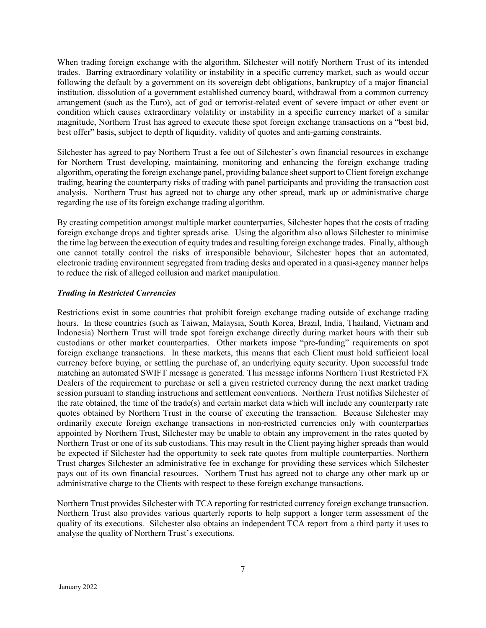When trading foreign exchange with the algorithm, Silchester will notify Northern Trust of its intended trades. Barring extraordinary volatility or instability in a specific currency market, such as would occur following the default by a government on its sovereign debt obligations, bankruptcy of a major financial institution, dissolution of a government established currency board, withdrawal from a common currency arrangement (such as the Euro), act of god or terrorist-related event of severe impact or other event or condition which causes extraordinary volatility or instability in a specific currency market of a similar magnitude, Northern Trust has agreed to execute these spot foreign exchange transactions on a "best bid, best offer" basis, subject to depth of liquidity, validity of quotes and anti-gaming constraints.

Silchester has agreed to pay Northern Trust a fee out of Silchester's own financial resources in exchange for Northern Trust developing, maintaining, monitoring and enhancing the foreign exchange trading algorithm, operating the foreign exchange panel, providing balance sheet support to Client foreign exchange trading, bearing the counterparty risks of trading with panel participants and providing the transaction cost analysis. Northern Trust has agreed not to charge any other spread, mark up or administrative charge regarding the use of its foreign exchange trading algorithm.

By creating competition amongst multiple market counterparties, Silchester hopes that the costs of trading foreign exchange drops and tighter spreads arise. Using the algorithm also allows Silchester to minimise the time lag between the execution of equity trades and resulting foreign exchange trades. Finally, although one cannot totally control the risks of irresponsible behaviour, Silchester hopes that an automated, electronic trading environment segregated from trading desks and operated in a quasi-agency manner helps to reduce the risk of alleged collusion and market manipulation.

# *Trading in Restricted Currencies*

Restrictions exist in some countries that prohibit foreign exchange trading outside of exchange trading hours. In these countries (such as Taiwan, Malaysia, South Korea, Brazil, India, Thailand, Vietnam and Indonesia) Northern Trust will trade spot foreign exchange directly during market hours with their sub custodians or other market counterparties. Other markets impose "pre-funding" requirements on spot foreign exchange transactions. In these markets, this means that each Client must hold sufficient local currency before buying, or settling the purchase of, an underlying equity security. Upon successful trade matching an automated SWIFT message is generated. This message informs Northern Trust Restricted FX Dealers of the requirement to purchase or sell a given restricted currency during the next market trading session pursuant to standing instructions and settlement conventions. Northern Trust notifies Silchester of the rate obtained, the time of the trade(s) and certain market data which will include any counterparty rate quotes obtained by Northern Trust in the course of executing the transaction. Because Silchester may ordinarily execute foreign exchange transactions in non-restricted currencies only with counterparties appointed by Northern Trust, Silchester may be unable to obtain any improvement in the rates quoted by Northern Trust or one of its sub custodians. This may result in the Client paying higher spreads than would be expected if Silchester had the opportunity to seek rate quotes from multiple counterparties. Northern Trust charges Silchester an administrative fee in exchange for providing these services which Silchester pays out of its own financial resources. Northern Trust has agreed not to charge any other mark up or administrative charge to the Clients with respect to these foreign exchange transactions.

Northern Trust provides Silchester with TCA reporting for restricted currency foreign exchange transaction. Northern Trust also provides various quarterly reports to help support a longer term assessment of the quality of its executions. Silchester also obtains an independent TCA report from a third party it uses to analyse the quality of Northern Trust's executions.